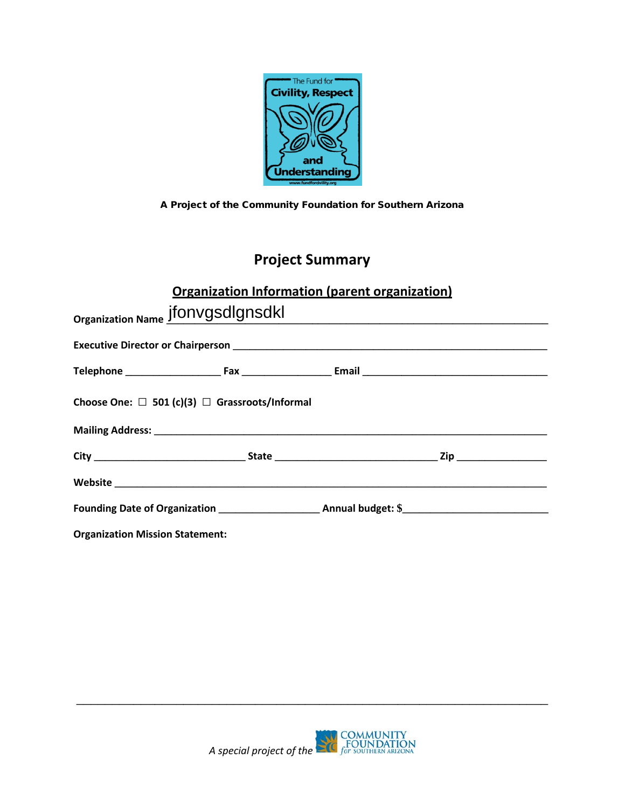

A Project of the Community Foundation for Southern Arizona

# **Project Summary**

### **Organization Information (parent organization)**

| Organization Name jfONVgsdlgnsdkl                        |  |  |  |  |  |  |
|----------------------------------------------------------|--|--|--|--|--|--|
|                                                          |  |  |  |  |  |  |
|                                                          |  |  |  |  |  |  |
| Choose One: $\Box$ 501 (c)(3) $\Box$ Grassroots/Informal |  |  |  |  |  |  |
|                                                          |  |  |  |  |  |  |
|                                                          |  |  |  |  |  |  |
|                                                          |  |  |  |  |  |  |
|                                                          |  |  |  |  |  |  |
| <b>Organization Mission Statement:</b>                   |  |  |  |  |  |  |



\_\_\_\_\_\_\_\_\_\_\_\_\_\_\_\_\_\_\_\_\_\_\_\_\_\_\_\_\_\_\_\_\_\_\_\_\_\_\_\_\_\_\_\_\_\_\_\_\_\_\_\_\_\_\_\_\_\_\_\_\_\_\_\_\_\_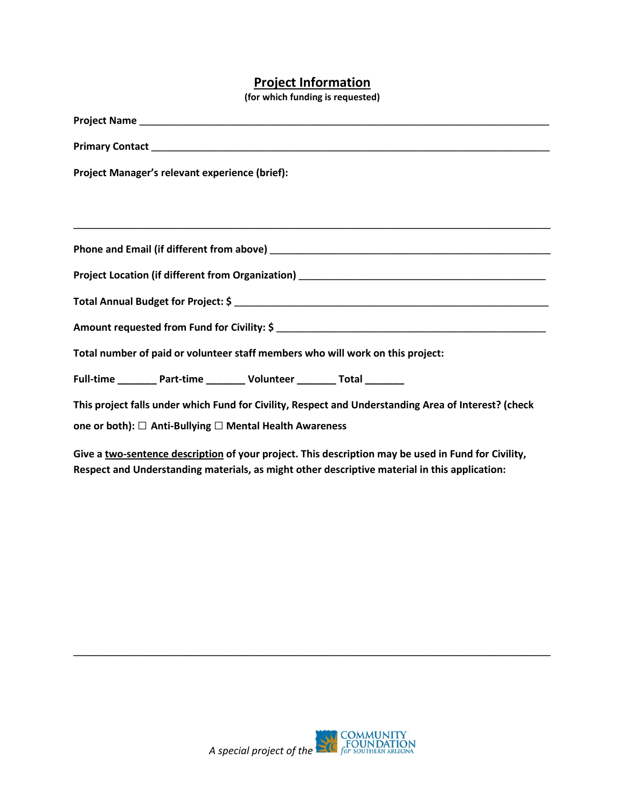#### **Project Information**

**(for which funding is requested)**

| Project Manager's relevant experience (brief):                                                                                                                  |  |  |  |  |  |
|-----------------------------------------------------------------------------------------------------------------------------------------------------------------|--|--|--|--|--|
|                                                                                                                                                                 |  |  |  |  |  |
|                                                                                                                                                                 |  |  |  |  |  |
|                                                                                                                                                                 |  |  |  |  |  |
|                                                                                                                                                                 |  |  |  |  |  |
|                                                                                                                                                                 |  |  |  |  |  |
|                                                                                                                                                                 |  |  |  |  |  |
| Total number of paid or volunteer staff members who will work on this project:                                                                                  |  |  |  |  |  |
| Full-time __________ Part-time _________ Volunteer ________ Total ________                                                                                      |  |  |  |  |  |
| This project falls under which Fund for Civility, Respect and Understanding Area of Interest? (check<br>one or both): □ Anti-Bullying □ Mental Health Awareness |  |  |  |  |  |
| A formal construction of the state of the construction which discuss the construction of the control for AMPH in                                                |  |  |  |  |  |

**Give a two-sentence description of your project. This description may be used in Fund for Civility, Respect and Understanding materials, as might other descriptive material in this application:** 



**\_\_\_\_\_\_\_\_\_\_\_\_\_\_\_\_\_\_\_\_\_\_\_\_\_\_\_\_\_\_\_\_\_\_\_\_\_\_\_\_\_\_\_\_\_\_\_\_\_\_\_\_\_\_\_\_\_\_\_\_\_\_\_\_\_\_\_\_\_\_\_\_\_\_\_\_\_\_\_\_\_\_\_\_\_**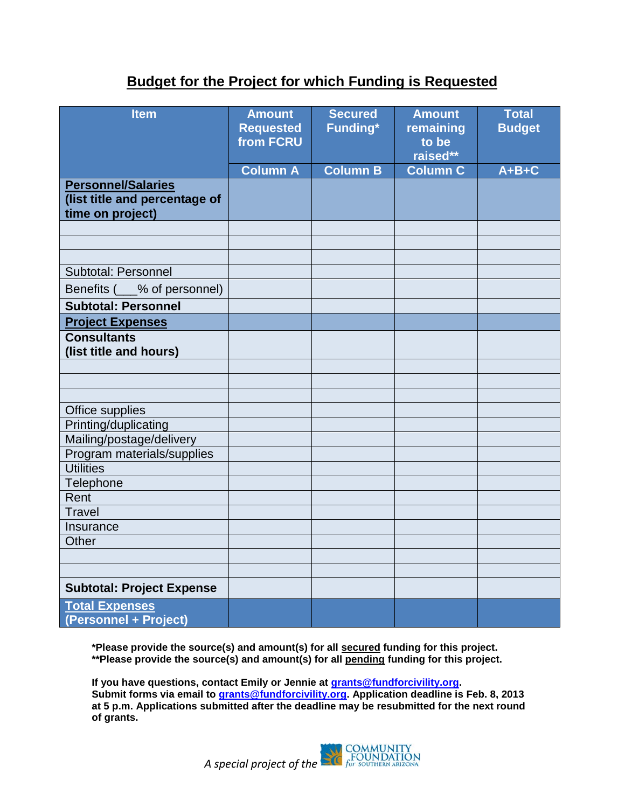## **Budget for the Project for which Funding is Requested**

| <b>Item</b>                                                                    | <b>Amount</b><br><b>Requested</b><br>from FCRU | <b>Secured</b><br>Funding* | <b>Amount</b><br>remaining<br>to be<br>raised** | <b>Total</b><br><b>Budget</b> |
|--------------------------------------------------------------------------------|------------------------------------------------|----------------------------|-------------------------------------------------|-------------------------------|
|                                                                                | <b>Column A</b>                                | <b>Column B</b>            | <b>Column C</b>                                 | $A+B+C$                       |
| <b>Personnel/Salaries</b><br>(list title and percentage of<br>time on project) |                                                |                            |                                                 |                               |
|                                                                                |                                                |                            |                                                 |                               |
|                                                                                |                                                |                            |                                                 |                               |
|                                                                                |                                                |                            |                                                 |                               |
| Subtotal: Personnel                                                            |                                                |                            |                                                 |                               |
| Benefits ( <sub>200</sub> % of personnel)                                      |                                                |                            |                                                 |                               |
| <b>Subtotal: Personnel</b>                                                     |                                                |                            |                                                 |                               |
| <b>Project Expenses</b>                                                        |                                                |                            |                                                 |                               |
| <b>Consultants</b><br>(list title and hours)                                   |                                                |                            |                                                 |                               |
|                                                                                |                                                |                            |                                                 |                               |
|                                                                                |                                                |                            |                                                 |                               |
|                                                                                |                                                |                            |                                                 |                               |
| Office supplies                                                                |                                                |                            |                                                 |                               |
| Printing/duplicating                                                           |                                                |                            |                                                 |                               |
| Mailing/postage/delivery                                                       |                                                |                            |                                                 |                               |
| Program materials/supplies                                                     |                                                |                            |                                                 |                               |
| <b>Utilities</b>                                                               |                                                |                            |                                                 |                               |
| Telephone                                                                      |                                                |                            |                                                 |                               |
| Rent                                                                           |                                                |                            |                                                 |                               |
| <b>Travel</b>                                                                  |                                                |                            |                                                 |                               |
| Insurance<br>Other                                                             |                                                |                            |                                                 |                               |
|                                                                                |                                                |                            |                                                 |                               |
|                                                                                |                                                |                            |                                                 |                               |
| <b>Subtotal: Project Expense</b>                                               |                                                |                            |                                                 |                               |
| <b>Total Expenses</b><br>(Personnel + Project)                                 |                                                |                            |                                                 |                               |

**\*Please provide the source(s) and amount(s) for all secured funding for this project. \*\*Please provide the source(s) and amount(s) for all pending funding for this project.** 

**If you have questions, contact Emily or Jennie at [grants@fundforcivility.org.](mailto:grants@fundforcivility.org) Submit forms via email to [grants@fundforcivility.org.](mailto:jennie@fundforcivility.org) Application deadline is Feb. 8, 2013 at 5 p.m. Applications submitted after the deadline may be resubmitted for the next round of grants.**